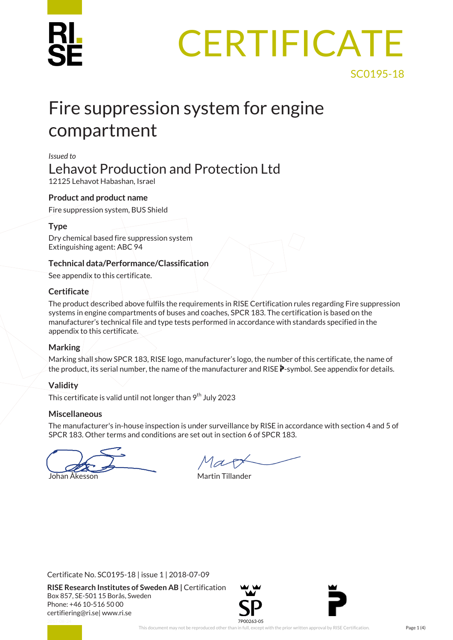# **CERTIFICATE**

## Fire suppression system for engine compartment

#### *Issued to*

## Lehavot Production and Protection Ltd

12125 Lehavot Habashan, Israel

#### **Product and product name**

Fire suppression system, BUS Shield

#### **Type**

Dry chemical based fire suppression system Extinguishing agent: ABC 94

#### **Technical data/Performance/Classification**

See appendix to this certificate.

#### **Certificate**

The product described above fulfils the requirements in RISE Certification rules regarding Fire suppression systems in engine compartments of buses and coaches, SPCR 183. The certification is based on the manufacturer's technical file and type tests performed in accordance with standards specified in the appendix to this certificate.

#### **Marking**

Marking shall show SPCR 183, RISE logo, manufacturer's logo, the number of this certificate, the name of the product, its serial number, the name of the manufacturer and RISE  $\ddot{\bm{P}}$ -symbol. See appendix for details.

#### **Validity**

This certificate is valid until not longer than  $9<sup>th</sup>$  July 2023

#### **Miscellaneous**

The manufacturer's in-house inspection is under surveillance by RISE in accordance with section 4 and 5 of SPCR 183. Other terms and conditions are set out in section 6 of SPCR 183.

Johan Åkesson Martin Tillander

Certificate No. SC0195-18 | issue 1 | 2018-07-09

**RISE Research Institutes of Sweden AB |** Certification Box 857, SE-501 15 Borås, Sweden Phone: +46 10-516 50 00 [certifiering@ri.se|](mailto:certifiering@ri.se) www.ri.se



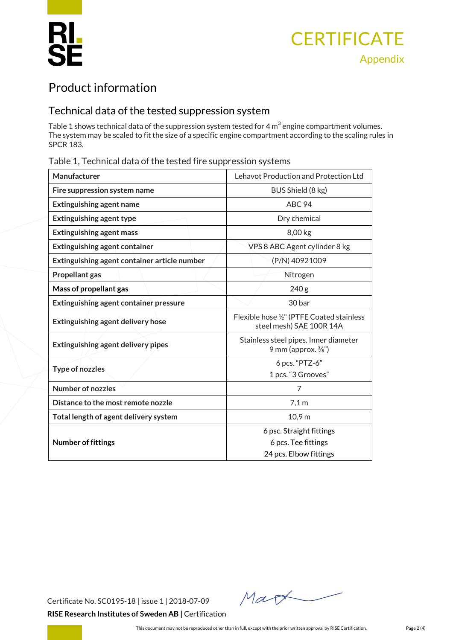

## Product information

### Technical data of the tested suppression system

Table 1 shows technical data of the suppression system tested for 4  $m<sup>3</sup>$  engine compartment volumes. The system may be scaled to fit the size of a specific engine compartment according to the scaling rules in SPCR 183.

#### Table 1, Technical data of the tested fire suppression systems

| Manufacturer                                  | Lehavot Production and Protection Ltd                                   |  |
|-----------------------------------------------|-------------------------------------------------------------------------|--|
| Fire suppression system name                  | BUS Shield (8 kg)                                                       |  |
| <b>Extinguishing agent name</b>               | ABC <sub>94</sub>                                                       |  |
| <b>Extinguishing agent type</b>               | Dry chemical                                                            |  |
| <b>Extinguishing agent mass</b>               | 8,00 kg                                                                 |  |
| <b>Extinguishing agent container</b>          | VPS 8 ABC Agent cylinder 8 kg                                           |  |
| Extinguishing agent container article number  | (P/N) 40921009                                                          |  |
| Propellant gas                                | Nitrogen                                                                |  |
| Mass of propellant gas                        | 240 <sub>g</sub>                                                        |  |
| <b>Extinguishing agent container pressure</b> | 30 bar                                                                  |  |
| <b>Extinguishing agent delivery hose</b>      | Flexible hose 1/2" (PTFE Coated stainless<br>steel mesh) SAE 100R 14A   |  |
| <b>Extinguishing agent delivery pipes</b>     | Stainless steel pipes. Inner diameter<br>9 mm (approx. $\frac{3}{8}$ ") |  |
| <b>Type of nozzles</b>                        | 6 pcs. "PTZ-6"                                                          |  |
|                                               | 1 pcs. "3 Grooves"                                                      |  |
| <b>Number of nozzles</b>                      | 7                                                                       |  |
| Distance to the most remote nozzle            | 7,1 m                                                                   |  |
| Total length of agent delivery system         | 10,9 m                                                                  |  |
|                                               | 6 psc. Straight fittings                                                |  |
| <b>Number of fittings</b>                     | 6 pcs. Tee fittings                                                     |  |
|                                               | 24 pcs. Elbow fittings                                                  |  |
|                                               |                                                                         |  |

Certificate No. SC0195-18 | issue 1 | 2018-07-09 **RISE Research Institutes of Sweden AB |** Certification

Mart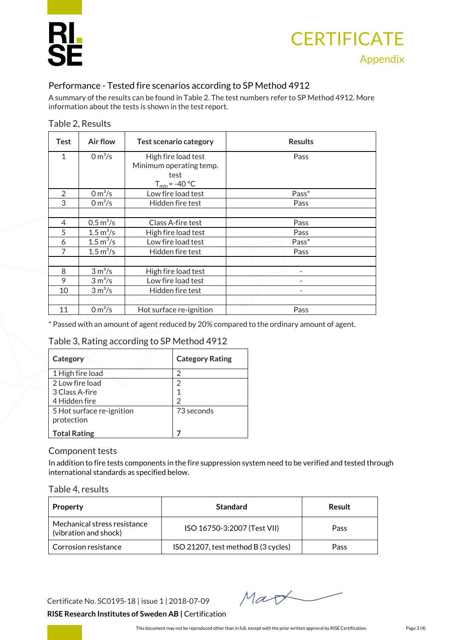## **CERTIFICATE** Appendix

#### Performance - Tested fire scenarios according to SP Method 4912

A summary of the results can be found in Table 2. The test numbers refer to SP Method 4912. More information about the tests is shown in the test report.

|  |  | Table 2, Results |
|--|--|------------------|
|--|--|------------------|

| <b>Test</b>    | Air flow                        | <b>Test scenario category</b> | <b>Results</b> |
|----------------|---------------------------------|-------------------------------|----------------|
| 1              | 0 m <sup>3</sup> /s             | High fire load test           | Pass           |
|                |                                 | Minimum operating temp.       |                |
|                |                                 | test                          |                |
|                |                                 | $T_{min}$ = -40 °C            |                |
| $\overline{2}$ | $0 m^3/s$                       | Low fire load test            | Pass*          |
| 3              | 0 m <sup>3</sup> /s             | Hidden fire test              | Pass           |
|                |                                 |                               |                |
| 4              | $0.5 \,\mathrm{m}^3/\mathrm{s}$ | Class A-fire test             | Pass           |
| 5              | $1.5 \,\mathrm{m}^3/\mathrm{s}$ | High fire load test           | Pass           |
| 6              | 1.5 $m^3/s$                     | Low fire load test            | Pass*          |
| 7              | $1.5 \,\mathrm{m}^3/\mathrm{s}$ | Hidden fire test              | Pass           |
|                |                                 |                               |                |
| 8              | 3 m <sup>3</sup> /s             | High fire load test           |                |
| 9              | $3 \text{ m}^3/\text{s}$        | Low fire load test            |                |
| 10             | 3 m <sup>3</sup> /s             | Hidden fire test              | ۰              |
|                |                                 |                               |                |
| 11             | 0 m <sup>3</sup> /s             | Hot surface re-ignition       | Pass           |

\* Passed with an amount of agent reduced by 20% compared to the ordinary amount of agent.

#### Table 3, Rating according to SP Method 4912

| Category                  | <b>Category Rating</b> |
|---------------------------|------------------------|
| 1 High fire load          |                        |
| 2 Low fire load           |                        |
| 3 Class A-fire            |                        |
| 4 Hidden fire             | $\mathfrak{D}$         |
| 5 Hot surface re-ignition | 73 seconds             |
| protection                |                        |
| <b>Total Rating</b>       |                        |

#### Component tests

In addition to fire tests components in the fire suppression system need to be verified and tested through international standards as specified below.

#### Table 4, results

| Property                                              | <b>Standard</b>                     | Result |
|-------------------------------------------------------|-------------------------------------|--------|
| Mechanical stress resistance<br>(vibration and shock) | ISO 16750-3:2007 (Test VII)         | Pass   |
| Corrosion resistance                                  | ISO 21207, test method B (3 cycles) | Pass   |

Certificate No. SC0195-18 | issue 1 | 2018-07-09

Mart